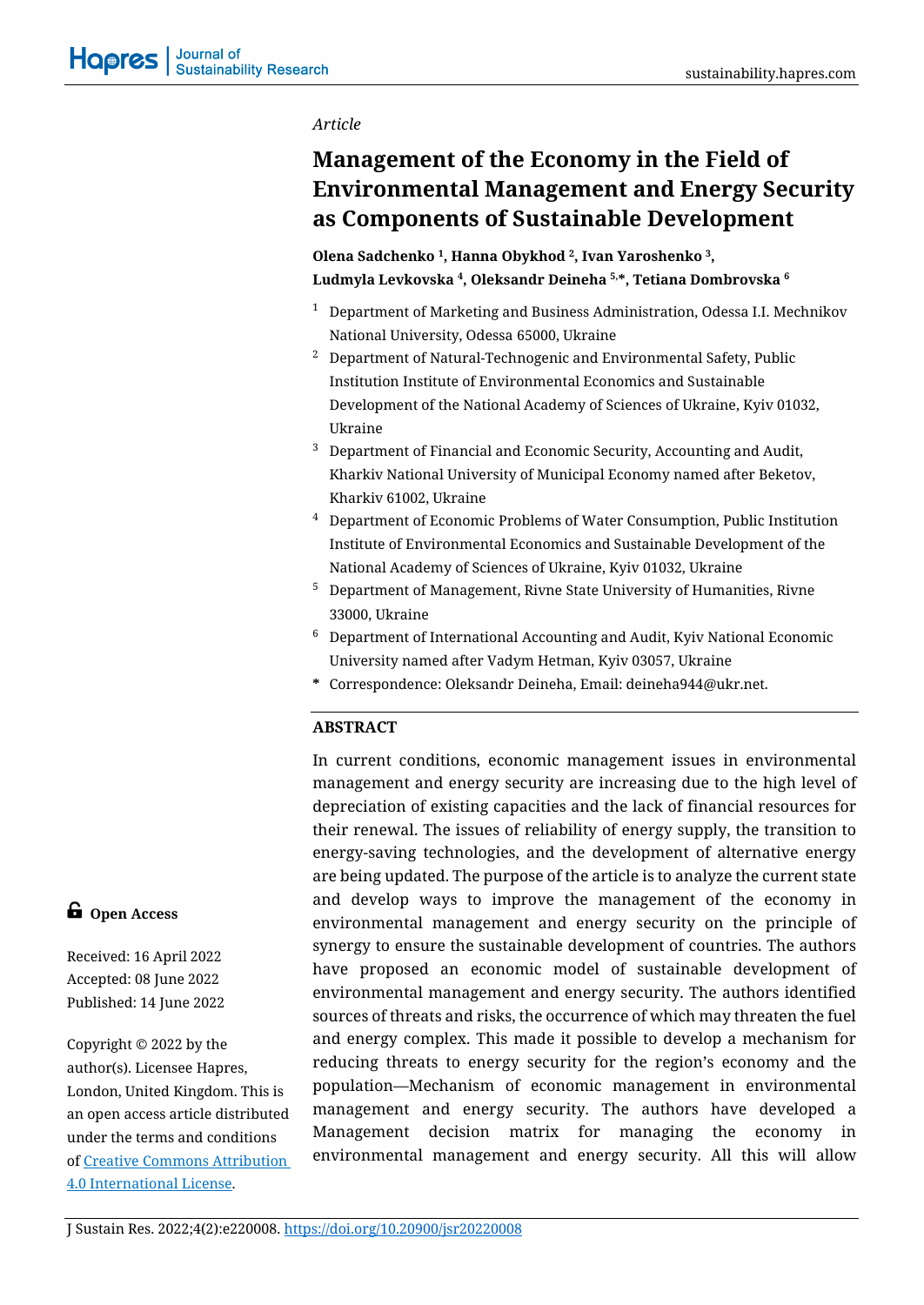#### *Article*

# **Management of the Economy in the Field of Environmental Management and Energy Security as Components of Sustainable Development**

# **Оlena Sadchenko 1, Hanna Obykhod 2, Ivan Yaroshenko 3, Ludmyla Levkovska <sup>4</sup>, Oleksandr Deineha 5,\*, Tetiana Dombrovska <sup>6</sup>**

- $1$  Department of Marketing and Business Administration, Odessa I.I. Mechnikov National University, Odessa 65000, Ukraine
- <sup>2</sup> Department of Natural-Technogenic and Environmental Safety, Public Institution Institute of Environmental Economics and Sustainable Development of the National Academy of Sciences of Ukraine, Kyiv 01032, Ukraine
- <sup>3</sup> Department of Financial and Economic Security, Accounting and Audit, Kharkiv National University of Municipal Economy named after Beketov, Kharkiv 61002, Ukraine
- <sup>4</sup> Department of Economic Problems of Water Consumption, Public Institution Institute of Environmental Economics and Sustainable Development of the National Academy of Sciences of Ukraine, Kyiv 01032, Ukraine
- <sup>5</sup> Department of Management, Rivne State University of Humanities, Rivne 33000, Ukraine
- $6$  Department of International Accounting and Audit, Kyiv National Economic University named after Vadym Hetman, Kyiv 03057, Ukraine
- **\*** Correspondence: Oleksandr Deineha, Email: deineha944@ukr.net.

# **ABSTRACT**

In current conditions, economic management issues in environmental management and energy security are increasing due to the high level of depreciation of existing capacities and the lack of financial resources for their renewal. The issues of reliability of energy supply, the transition to energy-saving technologies, and the development of alternative energy are being updated. The purpose of the article is to analyze the current state and develop ways to improve the management of the economy in environmental management and energy security on the principle of synergy to ensure the sustainable development of countries. The authors have proposed an economic model of sustainable development of environmental management and energy security. The authors identified sources of threats and risks, the occurrence of which may threaten the fuel and energy complex. This made it possible to develop a mechanism for reducing threats to energy security for the region's economy and the population—Mechanism of economic management in environmental management and energy security. The authors have developed a Management decision matrix for managing the economy in environmental management and energy security. All this will allow

# **G** Open Access

Received: 16 April 2022 Accepted: 08 June 2022 Published: 14 June 2022

Copyright © 2022 by the author(s). Licensee Hapres, London, United Kingdom. This is an open access article distributed under the terms and conditions of [Creative Commons Attribution](https://creativecommons.org/licenses/by/4.0/)  [4.0 International License.](https://creativecommons.org/licenses/by/4.0/)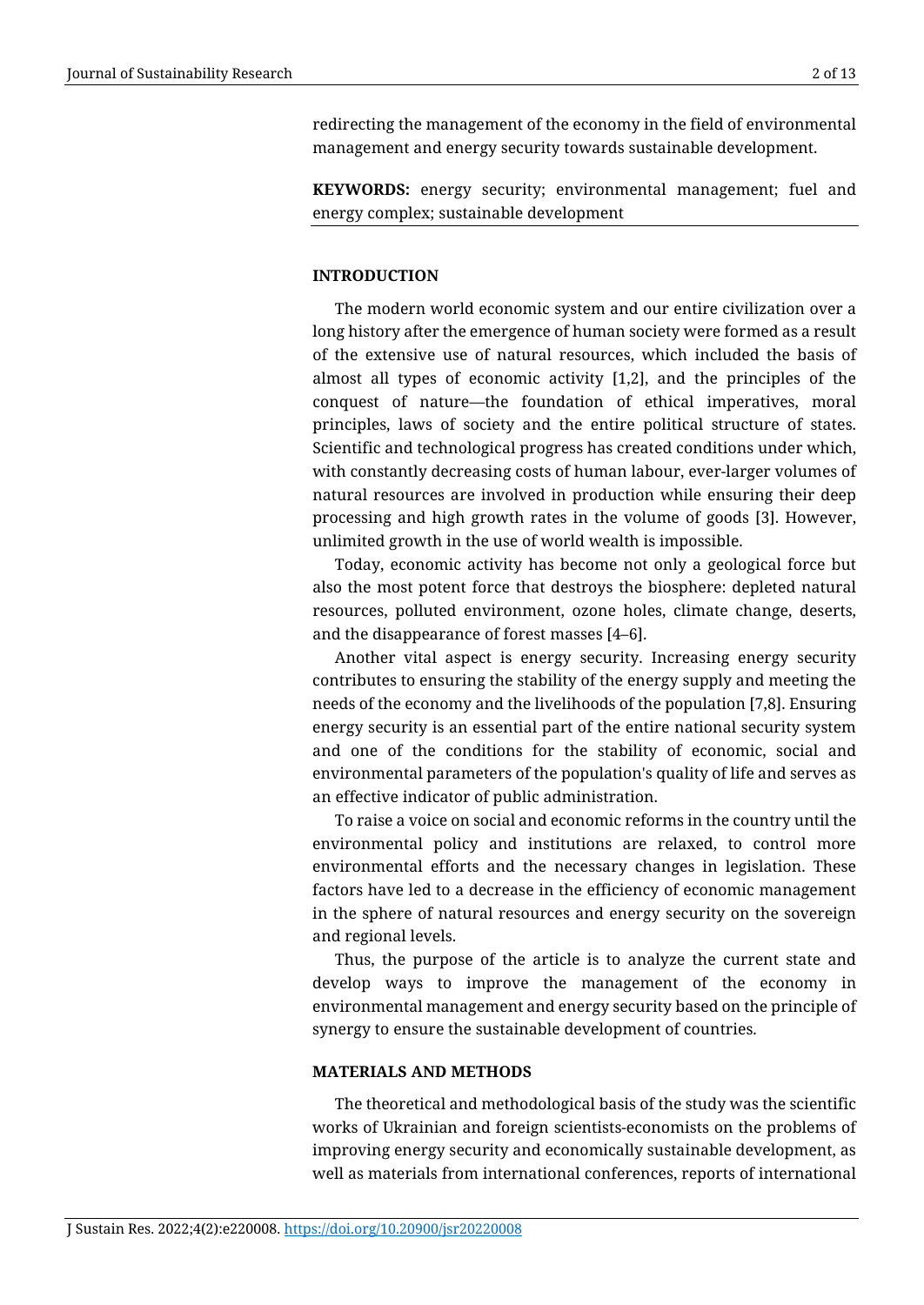redirecting the management of the economy in the field of environmental management and energy security towards sustainable development.

**KEYWORDS:** energy security; environmental management; fuel and energy complex; sustainable development

#### **INTRODUCTION**

The modern world economic system and our entire civilization over a long history after the emergence of human society were formed as a result of the extensive use of natural resources, which included the basis of almost all types of economic activity [1,2], and the principles of the conquest of nature—the foundation of ethical imperatives, moral principles, laws of society and the entire political structure of states. Scientific and technological progress has created conditions under which, with constantly decreasing costs of human labour, ever-larger volumes of natural resources are involved in production while ensuring their deep processing and high growth rates in the volume of goods [3]. However, unlimited growth in the use of world wealth is impossible.

Today, economic activity has become not only a geological force but also the most potent force that destroys the biosphere: depleted natural resources, polluted environment, ozone holes, climate change, deserts, and the disappearance of forest masses [4–6].

Another vital aspect is energy security. Increasing energy security contributes to ensuring the stability of the energy supply and meeting the needs of the economy and the livelihoods of the population [7,8]. Ensuring energy security is an essential part of the entire national security system and one of the conditions for the stability of economic, social and environmental parameters of the population's quality of life and serves as an effective indicator of public administration.

To raise a voice on social and economic reforms in the country until the environmental policy and institutions are relaxed, to control more environmental efforts and the necessary changes in legislation. These factors have led to a decrease in the efficiency of economic management in the sphere of natural resources and energy security on the sovereign and regional levels.

Thus, the purpose of the article is to analyze the current state and develop ways to improve the management of the economy in environmental management and energy security based on the principle of synergy to ensure the sustainable development of countries.

#### **MATERIALS AND METHODS**

The theoretical and methodological basis of the study was the scientific works of Ukrainian and foreign scientists-economists on the problems of improving energy security and economically sustainable development, as well as materials from international conferences, reports of international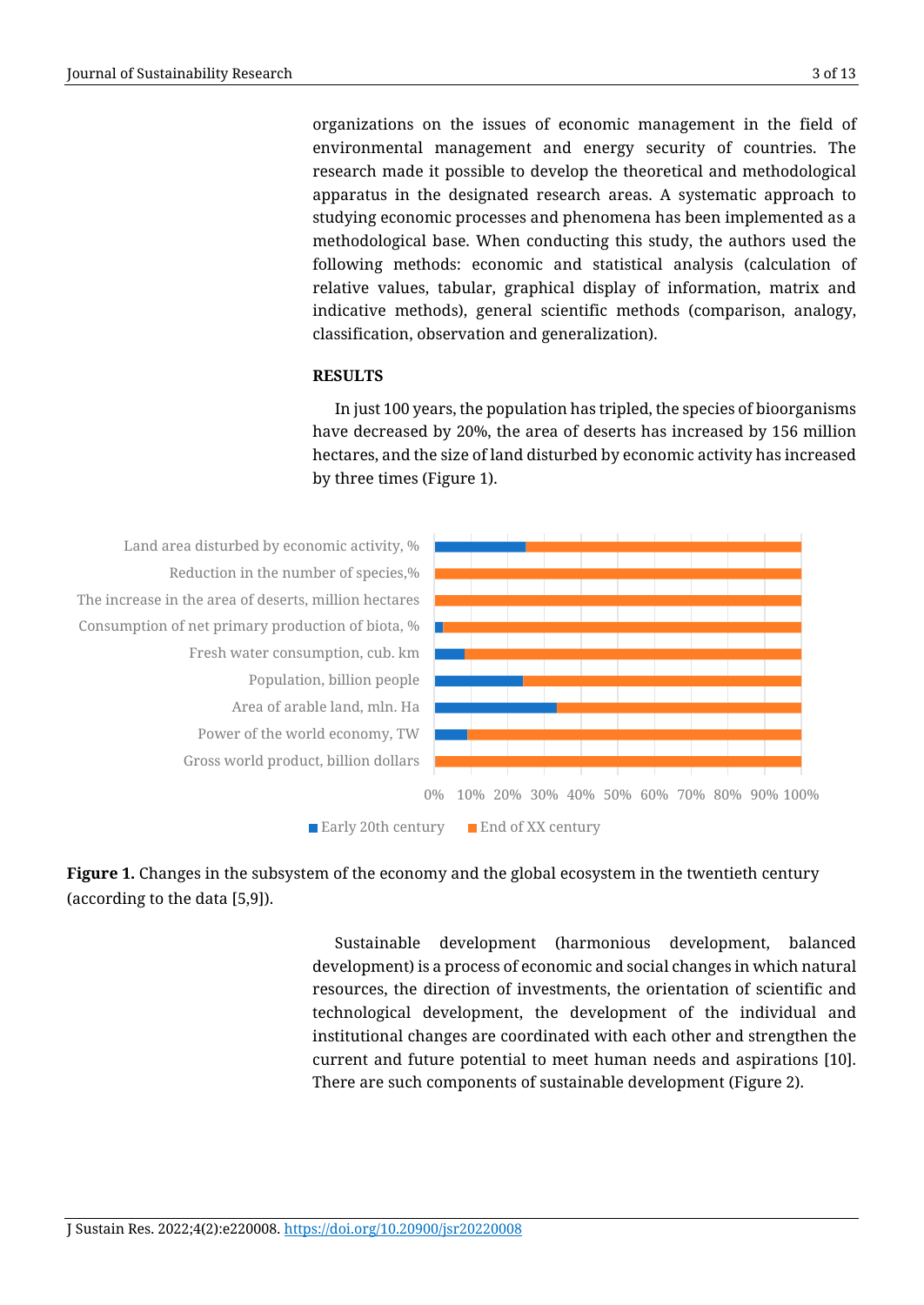organizations on the issues of economic management in the field of environmental management and energy security of countries. The research made it possible to develop the theoretical and methodological apparatus in the designated research areas. A systematic approach to studying economic processes and phenomena has been implemented as a methodological base. When conducting this study, the authors used the following methods: economic and statistical analysis (calculation of relative values, tabular, graphical display of information, matrix and indicative methods), general scientific methods (comparison, analogy, classification, observation and generalization).

# **RESULTS**

In just 100 years, the population has tripled, the species of bioorganisms have decreased by 20%, the area of deserts has increased by 156 million hectares, and the size of land disturbed by economic activity has increased by three times (Figure 1).



**Figure 1.** Changes in the subsystem of the economy and the global ecosystem in the twentieth century (according to the data [5,9]).

> Sustainable development (harmonious development, balanced development) is a process of economic and social changes in which natural resources, the direction of investments, the orientation of scientific and technological development, the development of the individual and institutional changes are coordinated with each other and strengthen the current and future potential to meet human needs and aspirations [10]. There are such components of sustainable development (Figure 2).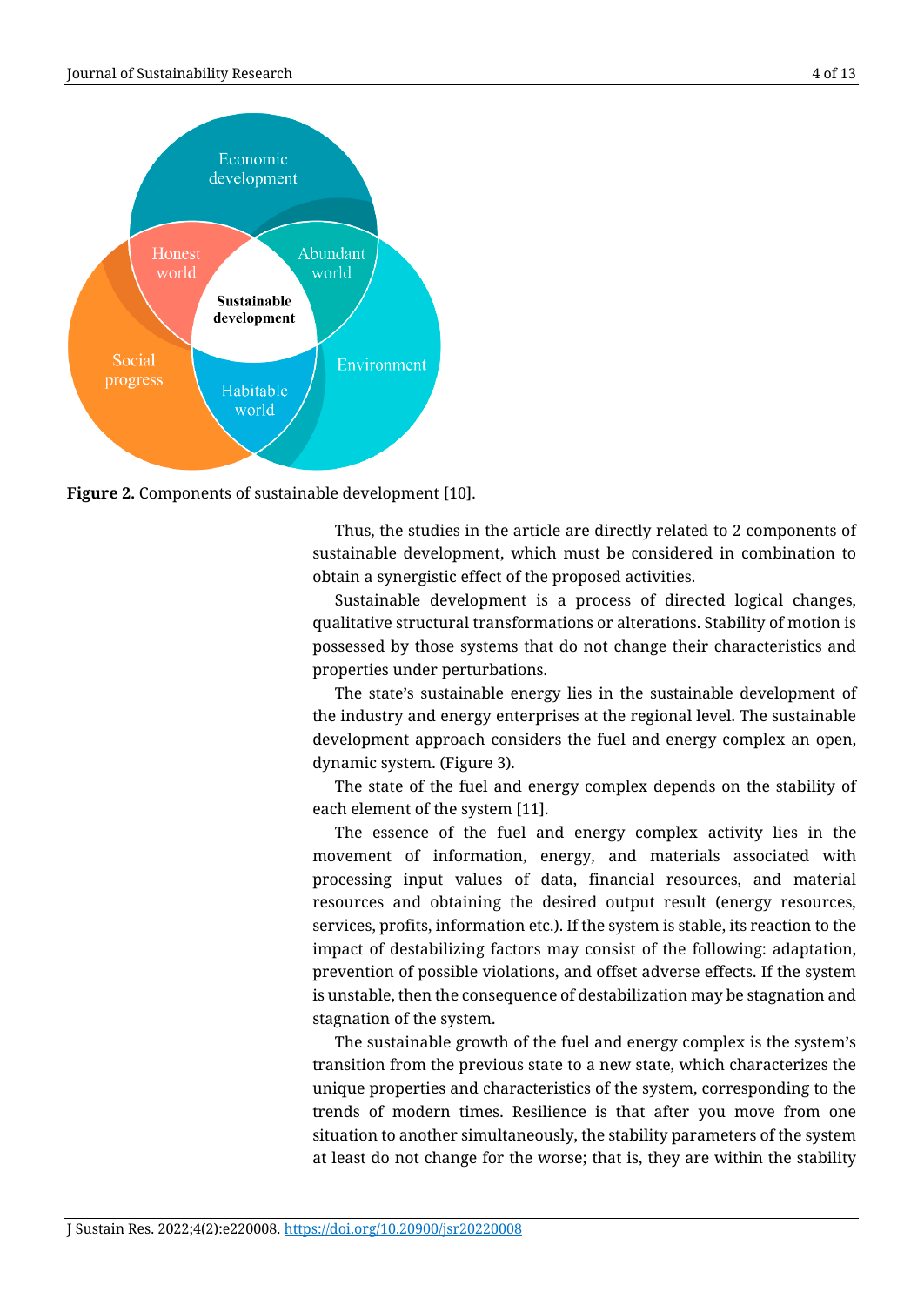

**Figure 2.** Components of sustainable development [10].

Thus, the studies in the article are directly related to 2 components of sustainable development, which must be considered in combination to obtain a synergistic effect of the proposed activities.

Sustainable development is a process of directed logical changes, qualitative structural transformations or alterations. Stability of motion is possessed by those systems that do not change their characteristics and properties under perturbations.

The state's sustainable energy lies in the sustainable development of the industry and energy enterprises at the regional level. The sustainable development approach considers the fuel and energy complex an open, dynamic system. (Figure 3).

The state of the fuel and energy complex depends on the stability of each element of the system [11].

The essence of the fuel and energy complex activity lies in the movement of information, energy, and materials associated with processing input values of data, financial resources, and material resources and obtaining the desired output result (energy resources, services, profits, information etc.). If the system is stable, its reaction to the impact of destabilizing factors may consist of the following: adaptation, prevention of possible violations, and offset adverse effects. If the system is unstable, then the consequence of destabilization may be stagnation and stagnation of the system.

The sustainable growth of the fuel and energy complex is the system's transition from the previous state to a new state, which characterizes the unique properties and characteristics of the system, corresponding to the trends of modern times. Resilience is that after you move from one situation to another simultaneously, the stability parameters of the system at least do not change for the worse; that is, they are within the stability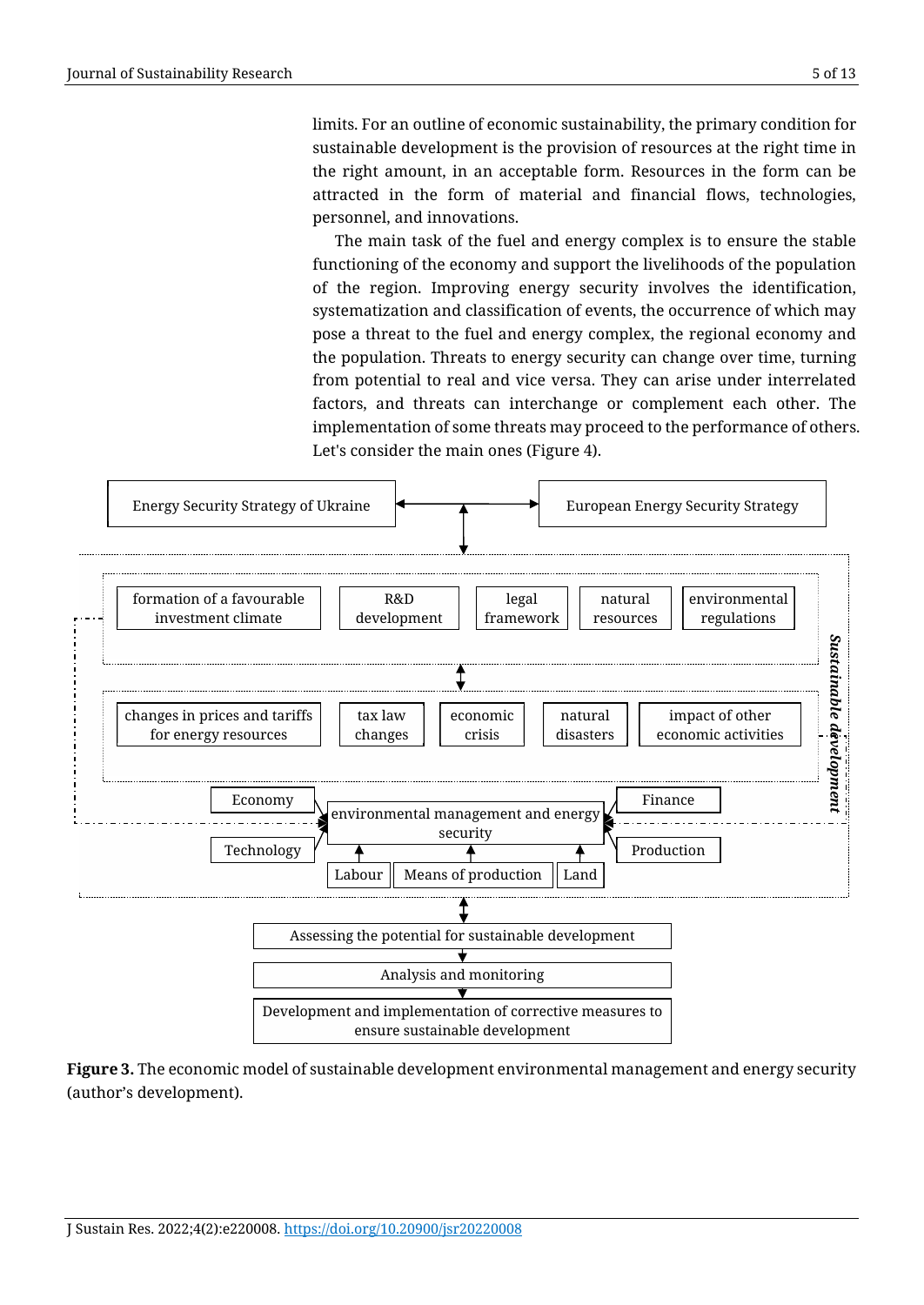limits. For an outline of economic sustainability, the primary condition for sustainable development is the provision of resources at the right time in the right amount, in an acceptable form. Resources in the form can be attracted in the form of material and financial flows, technologies, personnel, and innovations.

The main task of the fuel and energy complex is to ensure the stable functioning of the economy and support the livelihoods of the population of the region. Improving energy security involves the identification, systematization and classification of events, the occurrence of which may pose a threat to the fuel and energy complex, the regional economy and the population. Threats to energy security can change over time, turning from potential to real and vice versa. They can arise under interrelated factors, and threats can interchange or complement each other. The implementation of some threats may proceed to the performance of others. Let's consider the main ones (Figure 4).



**Figure 3.** The economic model of sustainable development environmental management and energy security (author's development).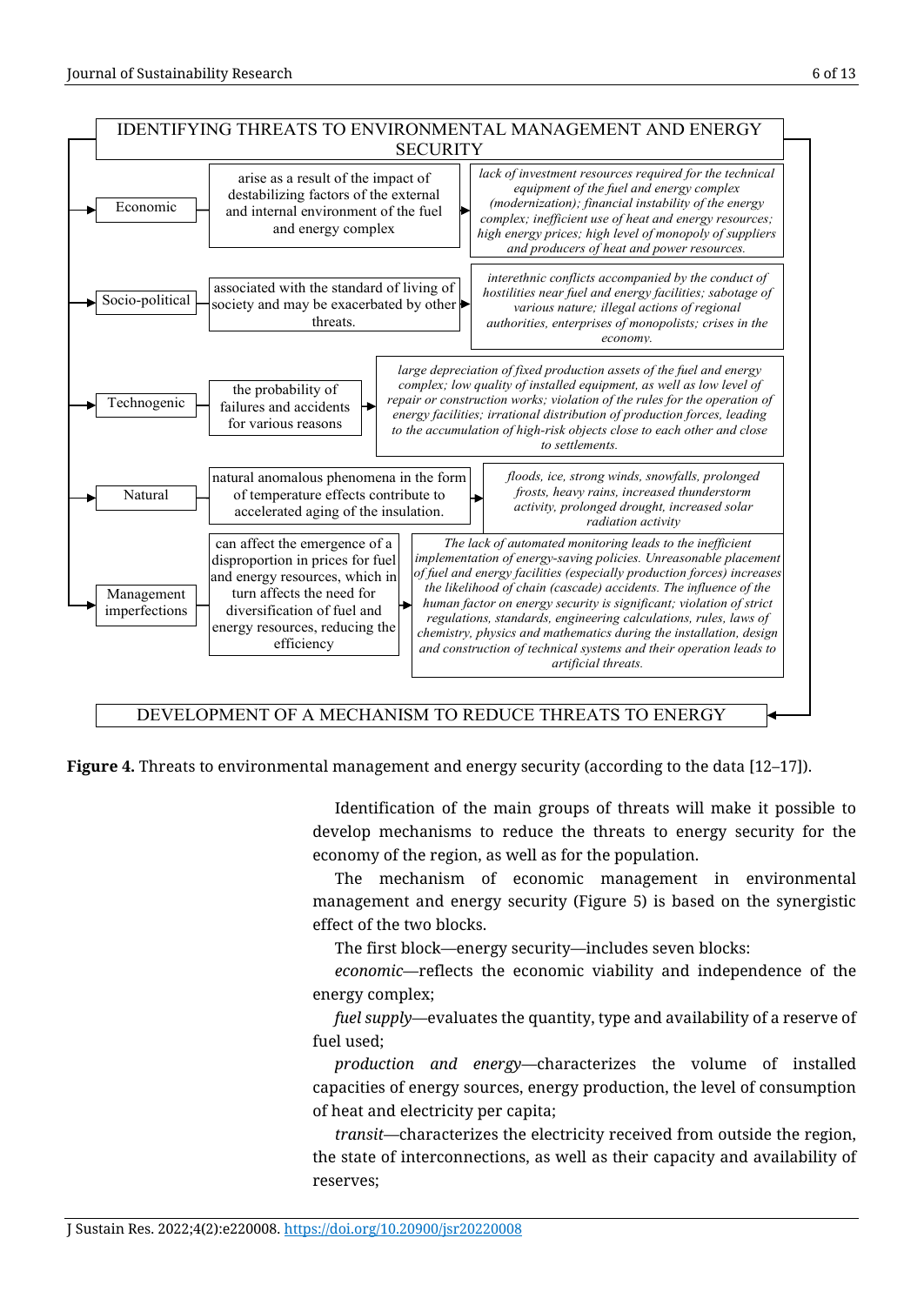

**Figure 4.** Threats to environmental management and energy security (according to the data [12–17]).

Identification of the main groups of threats will make it possible to develop mechanisms to reduce the threats to energy security for the economy of the region, as well as for the population.

The mechanism of economic management in environmental management and energy security (Figure 5) is based on the synergistic effect of the two blocks.

The first block—energy security—includes seven blocks:

*economic*—reflects the economic viability and independence of the energy complex;

*fuel supply*—evaluates the quantity, type and availability of a reserve of fuel used;

*production and energy*—characterizes the volume of installed capacities of energy sources, energy production, the level of consumption of heat and electricity per capita;

*transit*—characterizes the electricity received from outside the region, the state of interconnections, as well as their capacity and availability of reserves;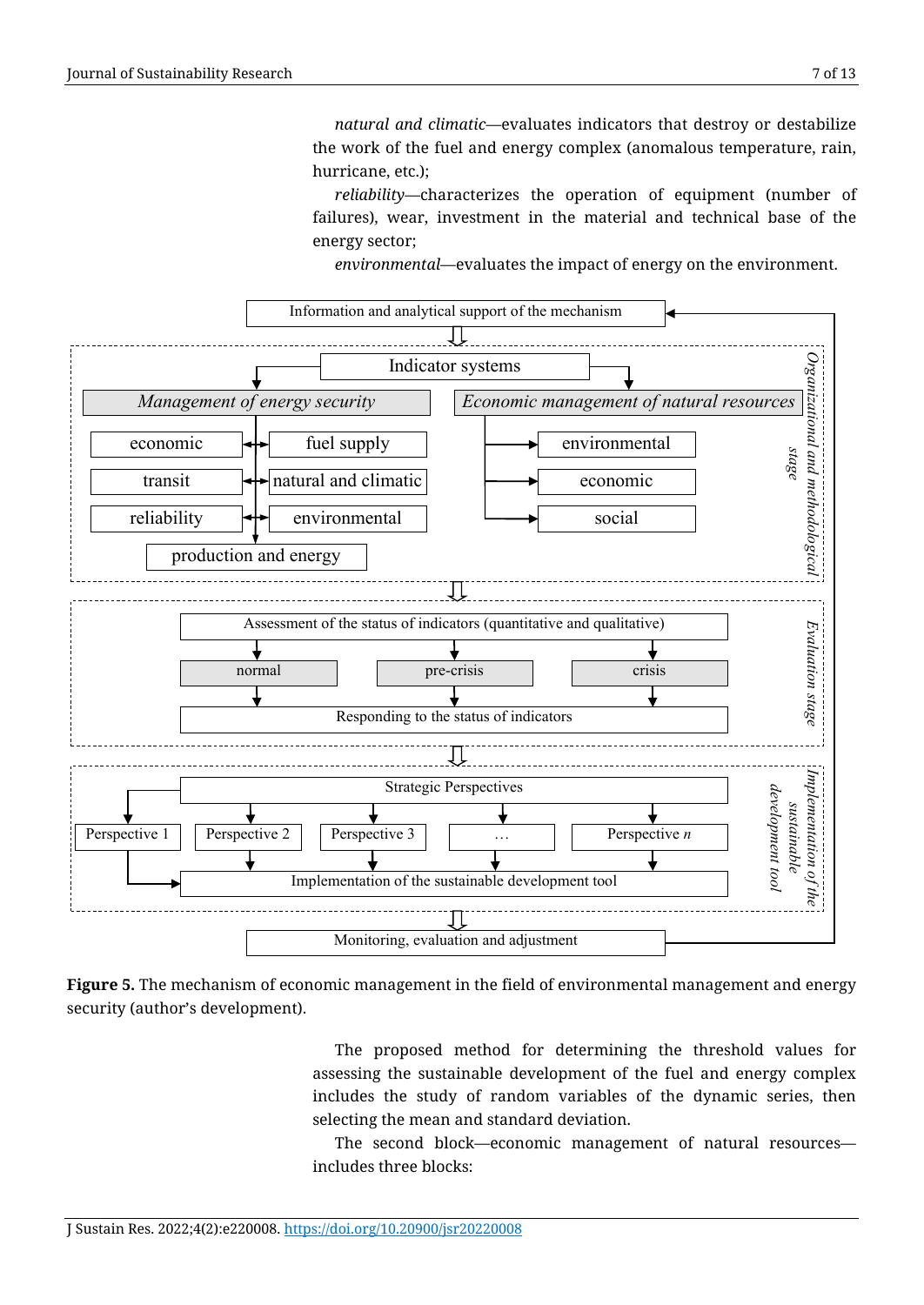*natural and climatic*—evaluates indicators that destroy or destabilize the work of the fuel and energy complex (anomalous temperature, rain, hurricane, etc.);

*reliability*—characterizes the operation of equipment (number of failures), wear, investment in the material and technical base of the energy sector;

*environmental*—evaluates the impact of energy on the environment.



**Figure 5.** The mechanism of economic management in the field of environmental management and energy security (author's development).

The proposed method for determining the threshold values for assessing the sustainable development of the fuel and energy complex includes the study of random variables of the dynamic series, then selecting the mean and standard deviation.

The second block—economic management of natural resources includes three blocks: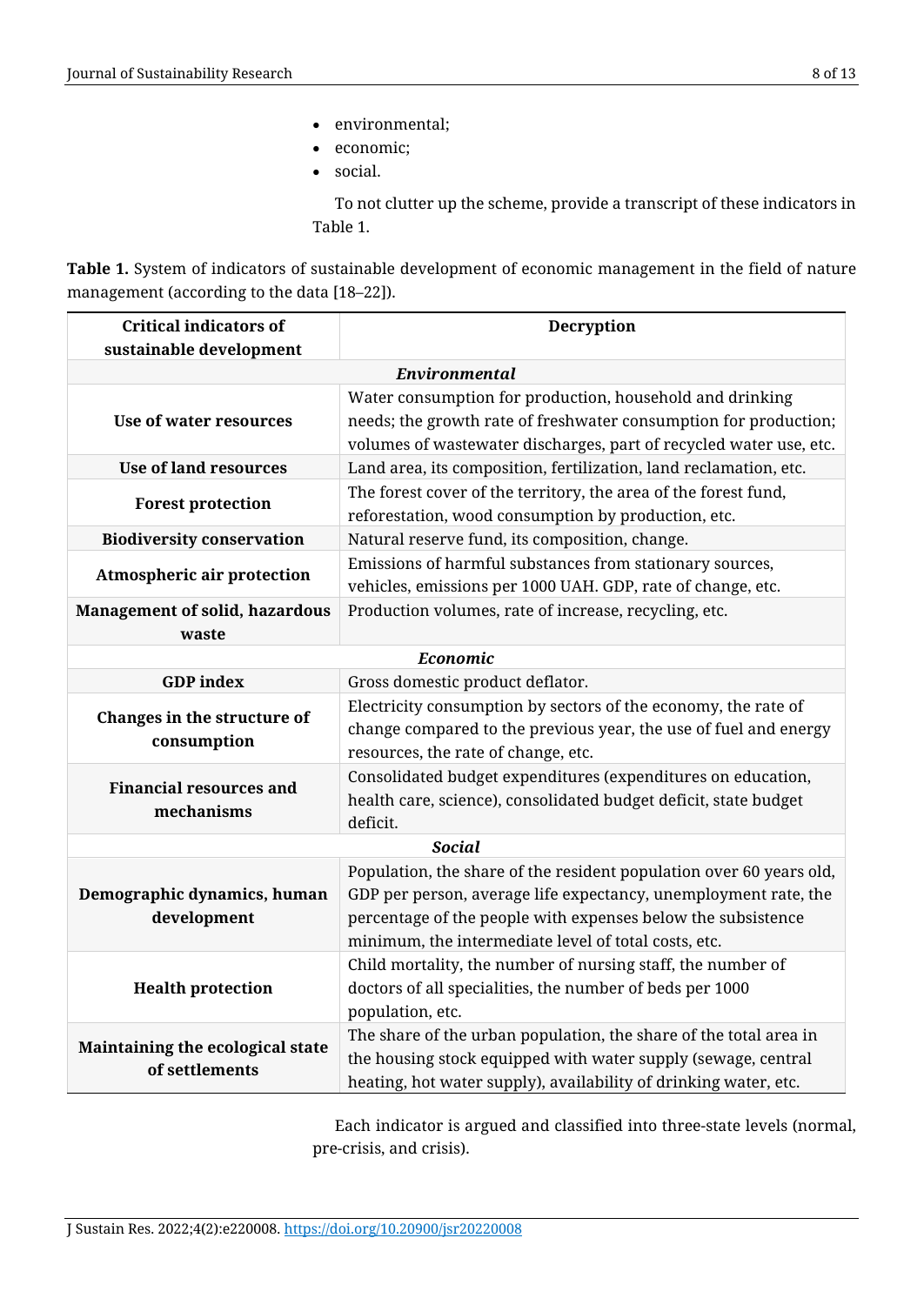- environmental;
- economic;
- social.

To not clutter up the scheme, provide a transcript of these indicators in Table 1.

**Table 1.** System of indicators of sustainable development of economic management in the field of nature management (according to the data [18–22]).

| <b>Critical indicators of</b>                      | Decryption                                                          |
|----------------------------------------------------|---------------------------------------------------------------------|
| sustainable development                            |                                                                     |
| Environmental                                      |                                                                     |
| Use of water resources                             | Water consumption for production, household and drinking            |
|                                                    | needs; the growth rate of freshwater consumption for production;    |
|                                                    | volumes of wastewater discharges, part of recycled water use, etc.  |
| <b>Use of land resources</b>                       | Land area, its composition, fertilization, land reclamation, etc.   |
| <b>Forest protection</b>                           | The forest cover of the territory, the area of the forest fund,     |
|                                                    | reforestation, wood consumption by production, etc.                 |
| <b>Biodiversity conservation</b>                   | Natural reserve fund, its composition, change.                      |
| <b>Atmospheric air protection</b>                  | Emissions of harmful substances from stationary sources,            |
|                                                    | vehicles, emissions per 1000 UAH. GDP, rate of change, etc.         |
| <b>Management of solid, hazardous</b>              | Production volumes, rate of increase, recycling, etc.               |
| waste                                              |                                                                     |
| Economic                                           |                                                                     |
| <b>GDP</b> index                                   | Gross domestic product deflator.                                    |
| Changes in the structure of<br>consumption         | Electricity consumption by sectors of the economy, the rate of      |
|                                                    | change compared to the previous year, the use of fuel and energy    |
|                                                    | resources, the rate of change, etc.                                 |
| <b>Financial resources and</b><br>mechanisms       | Consolidated budget expenditures (expenditures on education,        |
|                                                    | health care, science), consolidated budget deficit, state budget    |
|                                                    | deficit.                                                            |
| <b>Social</b>                                      |                                                                     |
|                                                    | Population, the share of the resident population over 60 years old, |
| Demographic dynamics, human                        | GDP per person, average life expectancy, unemployment rate, the     |
| development                                        | percentage of the people with expenses below the subsistence        |
|                                                    | minimum, the intermediate level of total costs, etc.                |
| <b>Health protection</b>                           | Child mortality, the number of nursing staff, the number of         |
|                                                    | doctors of all specialities, the number of beds per 1000            |
|                                                    | population, etc.                                                    |
| Maintaining the ecological state<br>of settlements | The share of the urban population, the share of the total area in   |
|                                                    | the housing stock equipped with water supply (sewage, central       |
|                                                    | heating, hot water supply), availability of drinking water, etc.    |

Each indicator is argued and classified into three-state levels (normal, pre-crisis, and crisis).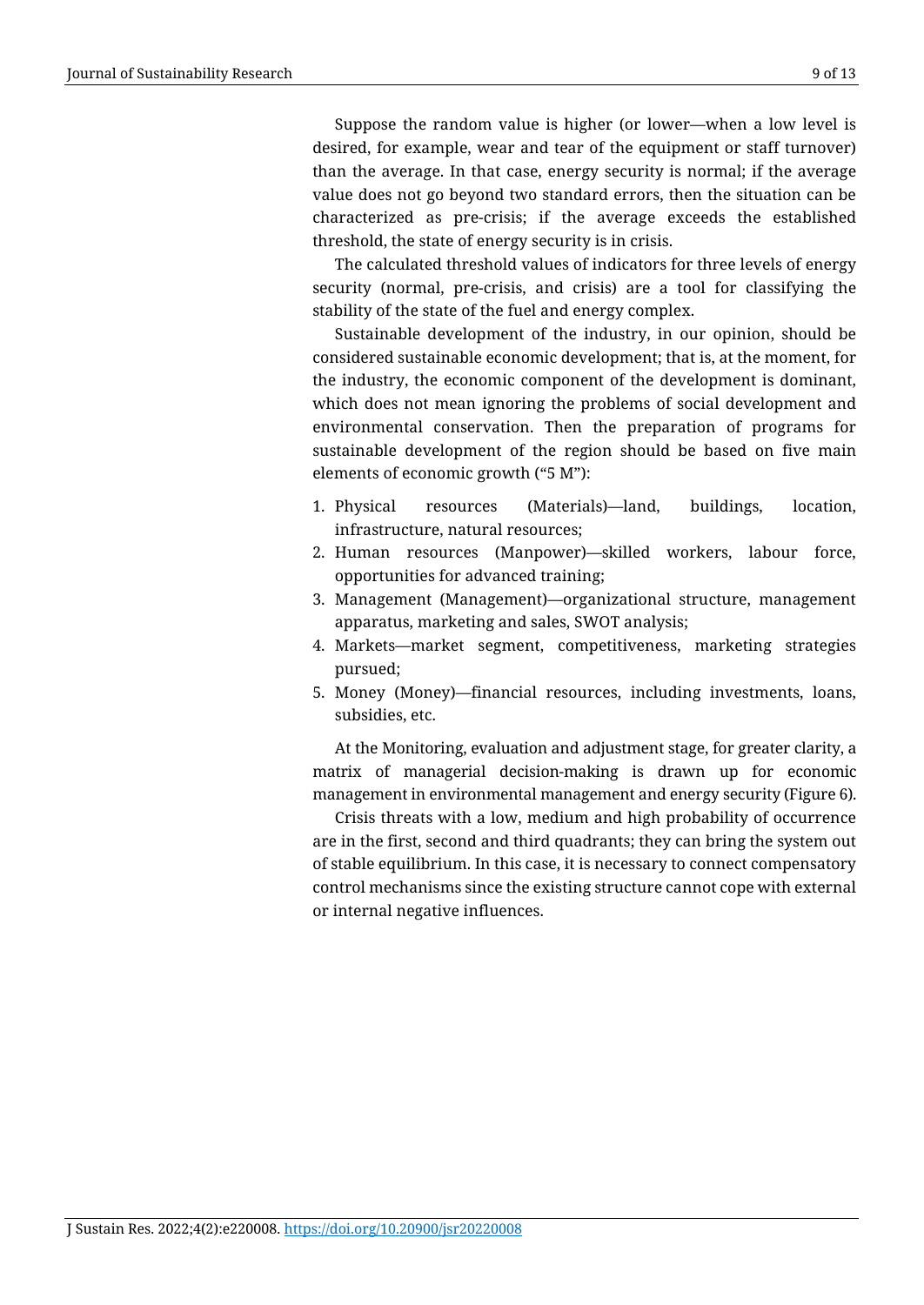Suppose the random value is higher (or lower—when a low level is desired, for example, wear and tear of the equipment or staff turnover) than the average. In that case, energy security is normal; if the average value does not go beyond two standard errors, then the situation can be characterized as pre-crisis; if the average exceeds the established threshold, the state of energy security is in crisis.

The calculated threshold values of indicators for three levels of energy security (normal, pre-crisis, and crisis) are a tool for classifying the stability of the state of the fuel and energy complex.

Sustainable development of the industry, in our opinion, should be considered sustainable economic development; that is, at the moment, for the industry, the economic component of the development is dominant, which does not mean ignoring the problems of social development and environmental conservation. Then the preparation of programs for sustainable development of the region should be based on five main elements of economic growth ("5 M"):

- 1. Physical resources (Materials)—land, buildings, location, infrastructure, natural resources;
- 2. Human resources (Manpower)—skilled workers, labour force, opportunities for advanced training;
- 3. Management (Management)—organizational structure, management apparatus, marketing and sales, SWOT analysis;
- 4. Markets—market segment, competitiveness, marketing strategies pursued;
- 5. Money (Money)—financial resources, including investments, loans, subsidies, etc.

At the Monitoring, evaluation and adjustment stage, for greater clarity, a matrix of managerial decision-making is drawn up for economic management in environmental management and energy security (Figure 6).

Crisis threats with a low, medium and high probability of occurrence are in the first, second and third quadrants; they can bring the system out of stable equilibrium. In this case, it is necessary to connect compensatory control mechanisms since the existing structure cannot cope with external or internal negative influences.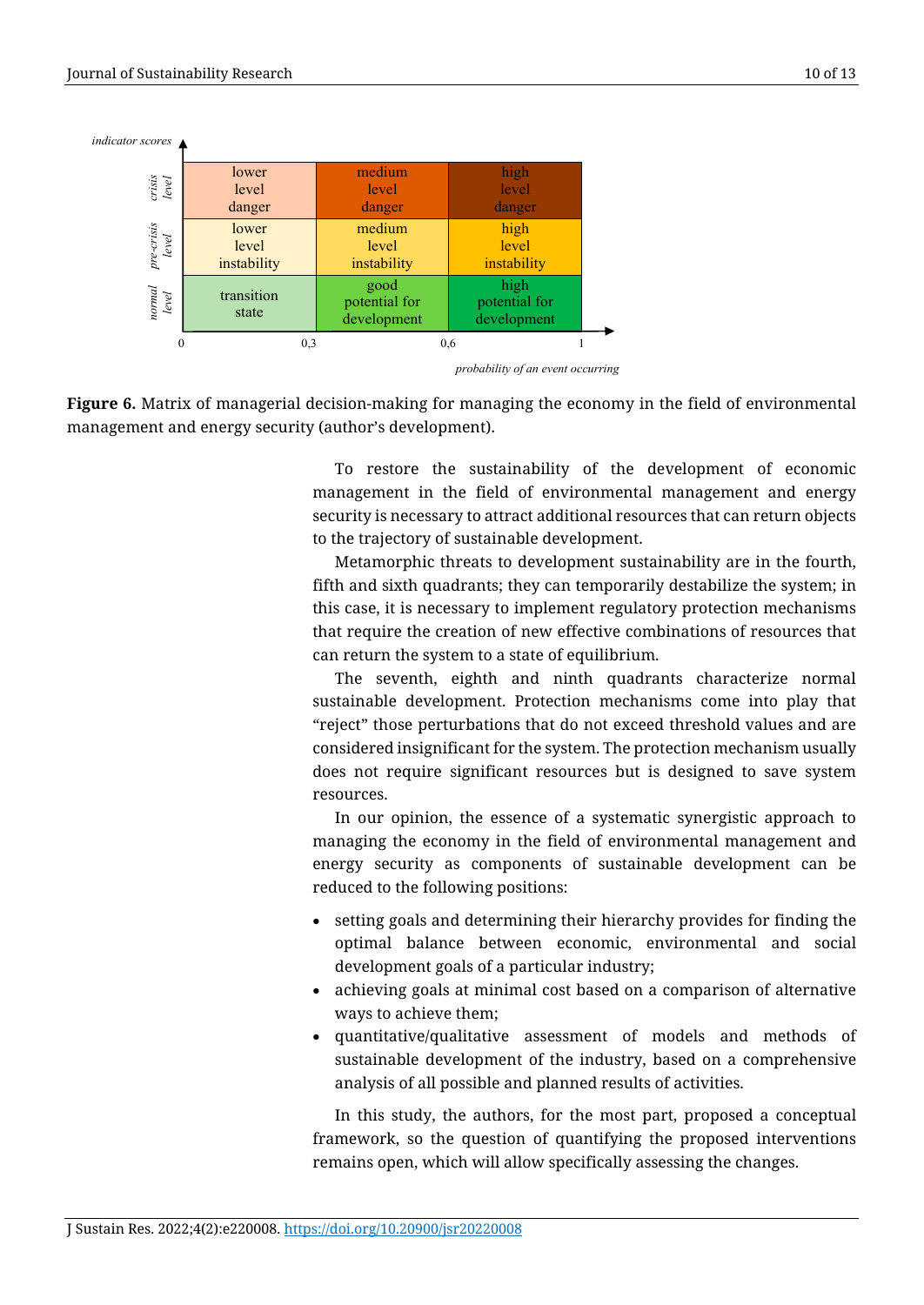

*probability of an event occurring*

**Figure 6.** Matrix of managerial decision-making for managing the economy in the field of environmental management and energy security (author's development).

> To restore the sustainability of the development of economic management in the field of environmental management and energy security is necessary to attract additional resources that can return objects to the trajectory of sustainable development.

> Metamorphic threats to development sustainability are in the fourth, fifth and sixth quadrants; they can temporarily destabilize the system; in this case, it is necessary to implement regulatory protection mechanisms that require the creation of new effective combinations of resources that can return the system to a state of equilibrium.

> The seventh, eighth and ninth quadrants characterize normal sustainable development. Protection mechanisms come into play that "reject" those perturbations that do not exceed threshold values and are considered insignificant for the system. The protection mechanism usually does not require significant resources but is designed to save system resources.

> In our opinion, the essence of a systematic synergistic approach to managing the economy in the field of environmental management and energy security as components of sustainable development can be reduced to the following positions:

- setting goals and determining their hierarchy provides for finding the optimal balance between economic, environmental and social development goals of a particular industry;
- achieving goals at minimal cost based on a comparison of alternative ways to achieve them;
- quantitative/qualitative assessment of models and methods of sustainable development of the industry, based on a comprehensive analysis of all possible and planned results of activities.

In this study, the authors, for the most part, proposed a conceptual framework, so the question of quantifying the proposed interventions remains open, which will allow specifically assessing the changes.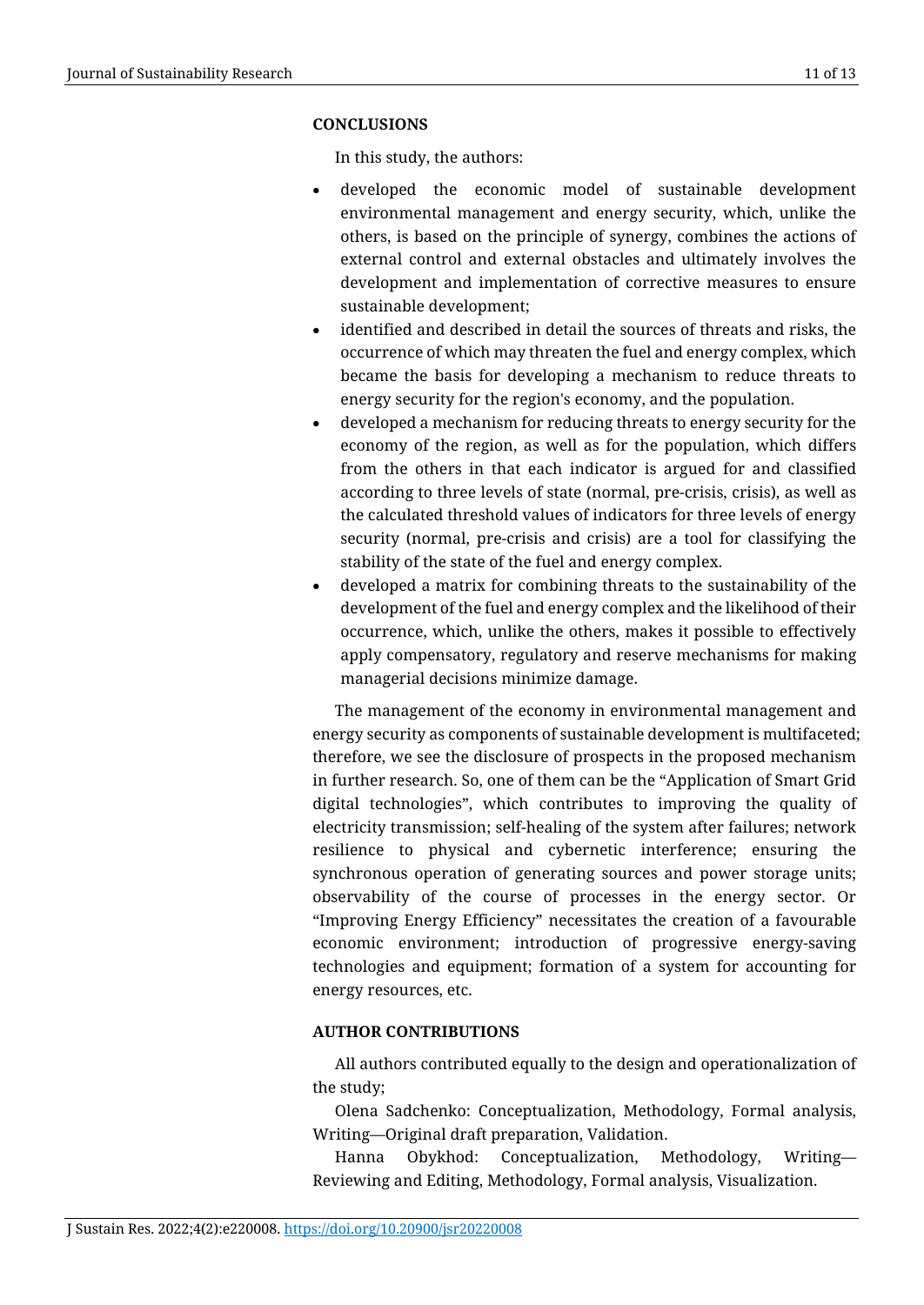# **CONCLUSIONS**

In this study, the authors:

- developed the economic model of sustainable development environmental management and energy security, which, unlike the others, is based on the principle of synergy, combines the actions of external control and external obstacles and ultimately involves the development and implementation of corrective measures to ensure sustainable development;
- identified and described in detail the sources of threats and risks, the occurrence of which may threaten the fuel and energy complex, which became the basis for developing a mechanism to reduce threats to energy security for the region's economy, and the population.
- developed a mechanism for reducing threats to energy security for the economy of the region, as well as for the population, which differs from the others in that each indicator is argued for and classified according to three levels of state (normal, pre-crisis, crisis), as well as the calculated threshold values of indicators for three levels of energy security (normal, pre-crisis and crisis) are a tool for classifying the stability of the state of the fuel and energy complex.
- developed a matrix for combining threats to the sustainability of the development of the fuel and energy complex and the likelihood of their occurrence, which, unlike the others, makes it possible to effectively apply compensatory, regulatory and reserve mechanisms for making managerial decisions minimize damage.

The management of the economy in environmental management and energy security as components of sustainable development is multifaceted; therefore, we see the disclosure of prospects in the proposed mechanism in further research. So, one of them can be the "Application of Smart Grid digital technologies", which contributes to improving the quality of electricity transmission; self-healing of the system after failures; network resilience to physical and cybernetic interference; ensuring the synchronous operation of generating sources and power storage units; observability of the course of processes in the energy sector. Or "Improving Energy Efficiency" necessitates the creation of a favourable economic environment; introduction of progressive energy-saving technologies and equipment; formation of a system for accounting for energy resources, etc.

# **AUTHOR CONTRIBUTIONS**

All authors contributed equally to the design and operationalization of the study;

Оlena Sadchenko: Conceptualization, Methodology, Formal analysis, Writing—Original draft preparation, Validation.

Hanna Obykhod: Conceptualization, Methodology, Writing— Reviewing and Editing, Methodology, Formal analysis, Visualization.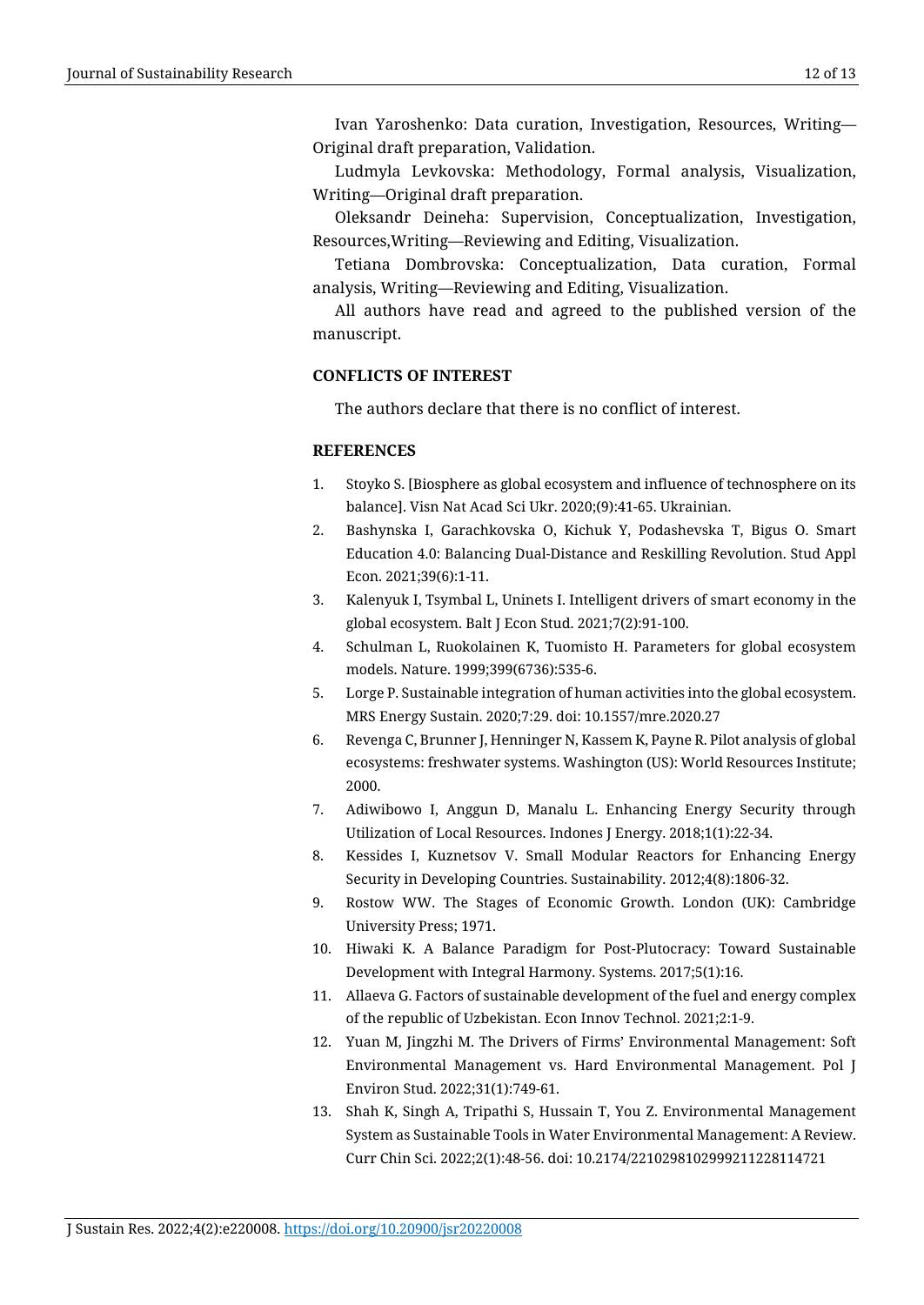Ivan Yaroshenko: Data curation, Investigation, Resources, Writing— Original draft preparation, Validation.

Ludmyla Levkovska: Methodology, Formal analysis, Visualization, Writing—Original draft preparation.

Oleksandr Deineha: Supervision, Conceptualization, Investigation, Resources,Writing—Reviewing and Editing, Visualization.

Tetiana Dombrovska: Conceptualization, Data curation, Formal analysis, Writing—Reviewing and Editing, Visualization.

All authors have read and agreed to the published version of the manuscript.

#### **CONFLICTS OF INTEREST**

The authors declare that there is no conflict of interest.

#### **REFERENCES**

- 1. Stoyko S. [Biosphere as global ecosystem and influence of technosphere on its balance]. Visn Nat Acad Sci Ukr. 2020;(9):41-65. Ukrainian.
- 2. Bashynska I, Garachkovska O, Kichuk Y, Podashevska T, Bigus O. Smart Education 4.0: Balancing Dual-Distance and Reskilling Revolution. Stud Appl Econ. 2021;39(6):1-11.
- 3. Kalenyuk I, Tsymbal L, Uninets I. Intelligent drivers of smart economy in the global ecosystem. Balt J Econ Stud. 2021;7(2):91-100.
- 4. Schulman L, Ruokolainen K, Tuomisto H. Parameters for global ecosystem models. Nature. 1999;399(6736):535-6.
- 5. Lorge P. Sustainable integration of human activities into the global ecosystem. MRS Energy Sustain. 2020;7:29. doi: 10.1557/mre.2020.27
- 6. Revenga C, Brunner J, Henninger N, Kassem K, Payne R. Pilot analysis of global ecosystems: freshwater systems. Washington (US): World Resources Institute; 2000.
- 7. Adiwibowo I, Anggun D, Manalu L. Enhancing Energy Security through Utilization of Local Resources. Indones J Energy. 2018;1(1):22-34.
- 8. Kessides I, Kuznetsov V. Small Modular Reactors for Enhancing Energy Security in Developing Countries. Sustainability. 2012;4(8):1806-32.
- 9. Rostow WW. The Stages of Economic Growth. London (UK): Cambridge University Press; 1971.
- 10. Hiwaki K. A Balance Paradigm for Post-Plutocracy: Toward Sustainable Development with Integral Harmony. Systems. 2017;5(1):16.
- 11. Allaeva G. Factors of sustainable development of the fuel and energy complex of the republic of Uzbekistan. Econ Innov Technol. 2021;2:1-9.
- 12. Yuan M, Jingzhi M. The Drivers of Firms' Environmental Management: Soft Environmental Management vs. Hard Environmental Management. Pol J Environ Stud. 2022;31(1):749-61.
- 13. Shah K, Singh A, Tripathi S, Hussain T, You Z. Environmental Management System as Sustainable Tools in Water Environmental Management: A Review. Curr Chin Sci. 2022;2(1):48-56. doi: 10.2174/2210298102999211228114721